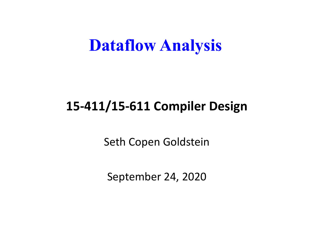#### **Dataflow Analysis**

#### **15-411/15-611 Compiler Design**

Seth Copen Goldstein

September 24, 2020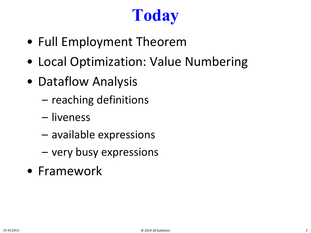# **Today**

- Full Employment Theorem
- Local Optimization: Value Numbering
- Dataflow Analysis
	- reaching definitions
	- liveness
	- available expressions
	- very busy expressions
- Framework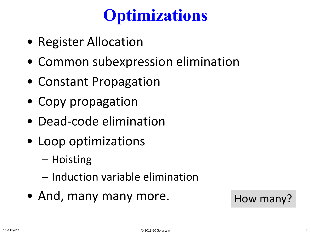# **Optimizations**

- Register Allocation
- Common subexpression elimination
- Constant Propagation
- Copy propagation
- Dead-code elimination
- Loop optimizations
	- Hoisting
	- Induction variable elimination
- And, many many more. How many?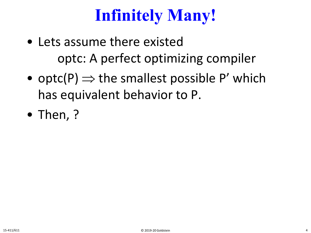# **Infinitely Many!**

- Lets assume there existed optc: A perfect optimizing compiler
- optc(P)  $\Rightarrow$  the smallest possible P' which has equivalent behavior to P.
- Then, ?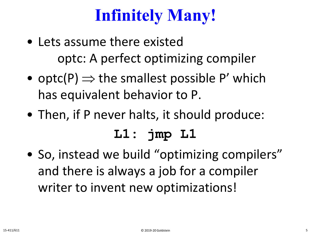# **Infinitely Many!**

- Lets assume there existed optc: A perfect optimizing compiler
- optc(P)  $\Rightarrow$  the smallest possible P' which has equivalent behavior to P.
- Then, if P never halts, it should produce:

#### **L1: jmp L1**

• So, instead we build "optimizing compilers" and there is always a job for a compiler writer to invent new optimizations!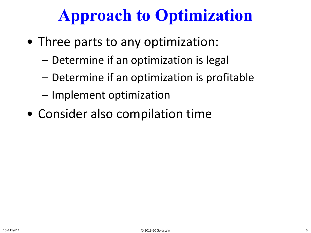# **Approach to Optimization**

- Three parts to any optimization:
	- Determine if an optimization is legal
	- Determine if an optimization is profitable
	- Implement optimization
- Consider also compilation time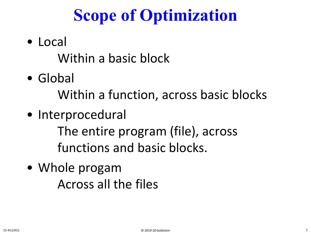# **Scope of Optimization**

• Local

Within a basic block

• Global

Within a function, across basic blocks

• Interprocedural

The entire program (file), across functions and basic blocks.

• Whole progam Across all the files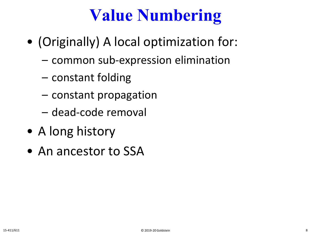# **Value Numbering**

- (Originally) A local optimization for:
	- common sub-expression elimination
	- constant folding
	- constant propagation
	- dead-code removal
- A long history
- An ancestor to SSA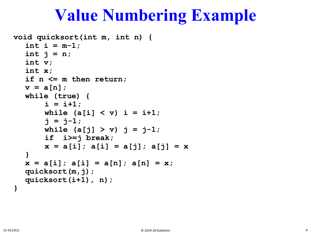#### **Value Numbering Example**

```
void quicksort(int m, int n) {
  int i = m-1;int \t{in} \t{in} n;
  int v;
  int x;
  if n <= m then return;
  v = a[n];
  while (true) {
       i = i+1;while (a[i] < v) i = i+1;
       \dot{p} = \dot{p} - 1;while (a[i] > v) j = j-1;
       if i>=j break;
       x = a[i]; a[i] = a[j]; a[j] = x}
  x = a[i]; a[i] = a[n]; a[n] = x;quicksort(m,j);
  quicksort(i+1), n);
}
```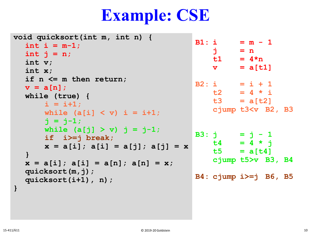# **Example: CSE**

| void quicksort(int m, int n) {<br>int i = $m-1$ ;<br>int $j = n$ ;<br>int $v$ ;<br>int $x$ ;                       | j.<br>$\mathbf v$ | $B1: i = m - 1$<br>$= n$<br>$t1 = 4*n$<br>$= a[t1]$                           |  |
|--------------------------------------------------------------------------------------------------------------------|-------------------|-------------------------------------------------------------------------------|--|
| if $n \leq m$ then return;<br>$v = a[n];$<br>while (true) {<br>$i = i+1;$<br>while $(a[i] < v)$ i = i+1;           |                   | $B2: i = i + 1$<br>$t2 = 4 * i$<br>$t3 = a[t2]$<br>cjump $t3 < v$ B2, B3      |  |
| $i = j-1;$<br>while $(a[j] > v)$ j = j-1;<br>if $i>=j$ break;<br>$x = a[i]; a[i] = a[j]; a[j] = x$<br>$\mathbf{\}$ |                   | B3: $j = j - 1$<br>$t4 = 4 \times i$<br>$t5 = a[t4]$<br>cjump $t5 > v$ B3, B4 |  |
| $x = a[i]; a[i] = a[n]; a[n] = x;$<br>quicksort $(m, j)$ ;<br>quicksort $(i+1)$ , n);                              |                   | $B4: cjump i \geq j$ B6, B5                                                   |  |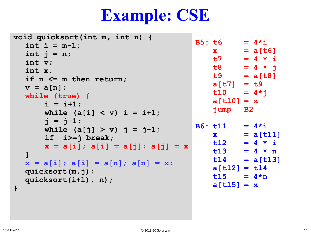#### **Example: CSE**

```
B5: t6 = 4* ix = a[t6]t7 = 4 \times it8 = 4 * jt9 = a[t8]a[t7] = t9
                                          t10 = 4 \star ia[t10] = x
                                          jump B2
                                      B6: t11 = 4* ix = a[t11]t12 = 4 \times it13 = 4 * nt14 = a[t13]
                                          a[t12] = t14
                                          t15 = 4*na[t15] = xvoid quicksort(int m, int n) {
  int i = m-1;int j = n;
  int v;
  int x;
  if n <= m then return;
  v = a[n];
  while (true) {
      i = i+1;while (a[i] < v) i = i+1;
      \dot{p} = \dot{p} - 1;while (a[j] > v) j = j-1;if i>=j break;
      x = a[i]; a[i] = a[j]; a[j] = x}
  x = a[i]; a[i] = a[n]; a[n] = x;quicksort(m,j);
  quicksort(i+1), n);
}
```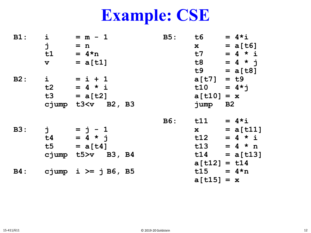# **Example: CSE**

| $B1$ :     | i                    | $= m - 1$                                                              | <b>B5:</b> | t6 and the top of the top of the top of the top of the top of the top of the top of the top of the top of the t<br>set of the top of the top of the top of the top of the top of the top of the top of the top of the top of the | $= 4 \star i$     |
|------------|----------------------|------------------------------------------------------------------------|------------|----------------------------------------------------------------------------------------------------------------------------------------------------------------------------------------------------------------------------------|-------------------|
|            | j                    | $= n$                                                                  |            | $\mathbf{x}$                                                                                                                                                                                                                     | $= a[t6]$         |
|            | t1                   | $= 4*n$                                                                |            | t7                                                                                                                                                                                                                               | $= 4 \times i$    |
|            | $\mathbf{v}$         | $= a[t1]$                                                              |            |                                                                                                                                                                                                                                  | $t8 = 4 * j$      |
|            |                      |                                                                        |            |                                                                                                                                                                                                                                  | $t9 = a[t8]$      |
| B2:        | $\dot{1}$            | $= i + 1$                                                              |            | $a[t7] = t9$                                                                                                                                                                                                                     |                   |
|            |                      | $t2 = 4 * i$                                                           |            |                                                                                                                                                                                                                                  | $t10 = 4 \star j$ |
|            |                      | $t3 = a[t2]$                                                           |            | $a[t10] = x$                                                                                                                                                                                                                     |                   |
|            |                      | cjump t3 <v b2,="" b3<="" td=""><td></td><td>jump B2</td><td></td></v> |            | jump B2                                                                                                                                                                                                                          |                   |
|            |                      |                                                                        | <b>B6:</b> | t11                                                                                                                                                                                                                              | $= 4 \star i$     |
| <b>B3:</b> | $\overrightarrow{a}$ | $= j - 1$                                                              |            | $\mathbf x$ and $\mathbf x$ and $\mathbf x$ and $\mathbf x$ and $\mathbf x$ and $\mathbf x$                                                                                                                                      | $= a[t11]$        |
|            | t4                   | $= 4 * j$                                                              |            |                                                                                                                                                                                                                                  | $t12 = 4 * i$     |
|            |                      |                                                                        |            |                                                                                                                                                                                                                                  |                   |
|            | t5                   | $= a[t4]$                                                              |            |                                                                                                                                                                                                                                  | $t13 = 4 * n$     |
|            |                      | cjump t5>v B3, B4                                                      |            |                                                                                                                                                                                                                                  | $t14 = a[t13]$    |
|            |                      |                                                                        |            | $a[t12] = t14$                                                                                                                                                                                                                   |                   |
| <b>B4:</b> |                      | cjump i $>=$ j B6, B5                                                  |            | $t15 = 4*n$                                                                                                                                                                                                                      |                   |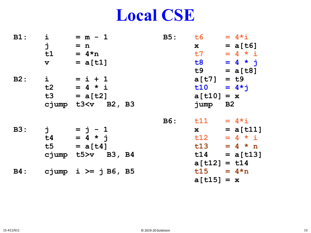#### **Local CSE**

| $B1$ :     | i<br>j<br>t1<br>$\mathbf v$                                                                                                         | $= m - 1$<br>$= n$<br>$= 4 \star n$<br>$= a[t1]$                                                                                                                                                                                 | <b>B5:</b> | t6 1<br>$\mathbf{x}$<br><b>t7</b><br>t8 and the state of the state of the state of the state of the state of the state of the state of the state of the state of the state of the state of the state of the state of the state of the state of the state of the sta                                                                    | $= 4 \times i$<br>$= a[t6]$<br>$= 4 \times i$<br>$= 4 * i$                                |
|------------|-------------------------------------------------------------------------------------------------------------------------------------|----------------------------------------------------------------------------------------------------------------------------------------------------------------------------------------------------------------------------------|------------|----------------------------------------------------------------------------------------------------------------------------------------------------------------------------------------------------------------------------------------------------------------------------------------------------------------------------------------|-------------------------------------------------------------------------------------------|
| B2:        | $\dot{1}$<br>t2                                                                                                                     | $= i + 1$<br>$= 4 * i$<br>$t3 = a[t2]$<br>cjump t3 <v b2,="" b3<="" td=""><td></td><td><math>a[t7] = t9</math><br/><math>a[t10] = x</math><br/>jump B2</td><td><math>t9 = a[t8]</math><br/><math>t10 = 4 \star i</math></td></v> |            | $a[t7] = t9$<br>$a[t10] = x$<br>jump B2                                                                                                                                                                                                                                                                                                | $t9 = a[t8]$<br>$t10 = 4 \star i$                                                         |
| <b>B3:</b> | ゙ヷ<br>t4<br>t5 and the state of the state of the state of the state of the state of the state of the state of the state of<br>cjump | $= j - 1$<br>$= 4 * j$<br>$= a[t4]$<br>$t5 > v$ B3, B4                                                                                                                                                                           |            | $\mathbf x$ and $\mathbf x$ and $\mathbf x$ and $\mathbf x$ and $\mathbf x$ and $\mathbf x$ and $\mathbf x$ and $\mathbf x$ and $\mathbf x$ and $\mathbf x$ and $\mathbf x$ and $\mathbf x$ and $\mathbf x$ and $\mathbf x$ and $\mathbf x$ and $\mathbf x$ and $\mathbf x$ and $\mathbf x$ and $\mathbf x$ and $\mathbf x$ and<br>t13 | B6: $t11 = 4 \times i$<br>$= a[t11]$<br>$t12 = 4 * i$<br>$= 4 \times n$<br>$t14 = a[t13]$ |
| <b>B4:</b> |                                                                                                                                     | cjump i $>=$ j B6, B5                                                                                                                                                                                                            |            | $a[t12] = t14$<br>$t15 = 4*n$<br>$a[t15] = x$                                                                                                                                                                                                                                                                                          |                                                                                           |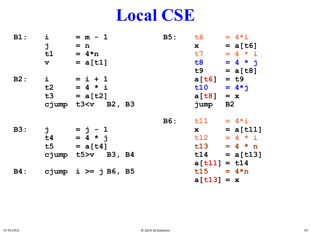#### **Local CSE**

| $B1$ :     | i<br>j<br>t1<br>$\mathbf{v}$   | $= m - 1$<br>$= n$<br>$= 4 \star n$<br>$= a[t1]$       | B5:        | t6 1<br>$\mathbf x$<br><b>t7</b><br><b>t8</b><br>t9 and the state of the state of the state of the state of the state of the state of the state of the state of the state of the state of the state of the state of the state of the state of the state of the state of the sta | $= 4 \times i$<br>$= a[t6]$<br>$= 4 \times i$<br>$= 4 * i$<br>$= a[t8]$   |
|------------|--------------------------------|--------------------------------------------------------|------------|---------------------------------------------------------------------------------------------------------------------------------------------------------------------------------------------------------------------------------------------------------------------------------|---------------------------------------------------------------------------|
| B2:        | $\dot{1}$<br>t2<br>t3<br>cjump | $= i + 1$<br>$= 4 * i$<br>$= a[t2]$<br>$t3 < v$ B2, B3 |            | $a[t6] = t9$<br>t10<br>$a[t8] = x$<br>jump                                                                                                                                                                                                                                      | $= 4 \times i$<br>B2                                                      |
| <b>B3:</b> | j<br>t4<br>t5<br>cjump         | $= j - 1$<br>$= 4 * j$<br>$= a[t4]$<br>$t5 > v$ B3, B4 | <b>B6:</b> | t11<br>$\mathbf{x}$<br>t12<br>t13<br>t14                                                                                                                                                                                                                                        | $= 4 \times i$<br>$= a[t11]$<br>$= 4 * i$<br>$= 4 \times n$<br>$= a[t13]$ |
| <b>B4:</b> |                                | cjump i $>=$ j B6, B5                                  |            | $a[t11] = t14$<br>$t15 = 4*n$<br>$a[t13] = x$                                                                                                                                                                                                                                   |                                                                           |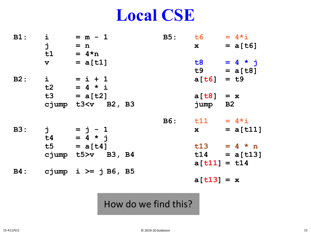#### **Local CSE**

| $\dot{1}$<br>$B1$ :<br>j<br>t1 | $= m - 1$<br>$= n$<br>$= 4*n$         |  | B5: t6<br>$\mathbf{x}$                                                                                                                                                                                                                                                                                                          | $= 4 \times i$<br>$= a[t6]$ |
|--------------------------------|---------------------------------------|--|---------------------------------------------------------------------------------------------------------------------------------------------------------------------------------------------------------------------------------------------------------------------------------------------------------------------------------|-----------------------------|
| $\mathbf v$                    | $= a[t1]$                             |  | <b>t8</b>                                                                                                                                                                                                                                                                                                                       | $= 4 * j$<br>$t9 = a[t8]$   |
| B2:                            | $i = i + 1$<br>$t2 = 4 * i$           |  | $a[t6] = t9$                                                                                                                                                                                                                                                                                                                    |                             |
|                                | $t3 = a[t2]$<br>cjump $t3 < v$ B2, B3 |  | $a[t8] = x$<br>jump B2                                                                                                                                                                                                                                                                                                          |                             |
|                                |                                       |  | $B6:$ $t11 = 4* i$                                                                                                                                                                                                                                                                                                              |                             |
| <b>B3:</b>                     | $j = j - 1$<br>$t4 = 4 * j$           |  | $\mathbf x$ and $\mathbf x$ and $\mathbf x$ and $\mathbf x$ and $\mathbf x$ and $\mathbf x$ and $\mathbf x$ and $\mathbf x$ and $\mathbf x$ and $\mathbf x$ and $\mathbf x$ and $\mathbf x$ and $\mathbf x$ and $\mathbf x$ and $\mathbf x$ and $\mathbf x$ and $\mathbf x$ and $\mathbf x$ and $\mathbf x$ and $\mathbf x$ and | $= a[t11]$                  |
|                                | $t5 = a[t4]$                          |  |                                                                                                                                                                                                                                                                                                                                 | $t13 = 4 * n$               |
|                                | cjump $t5 > v$ B3, B4                 |  | $a[t11] = t14$                                                                                                                                                                                                                                                                                                                  | $t14 = a[t13]$              |
| <b>B4:</b>                     | cjump i $>=$ j B6, B5                 |  |                                                                                                                                                                                                                                                                                                                                 |                             |

#### How do we find this?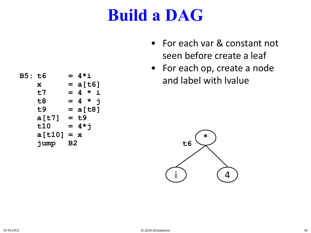- For each var & constant not seen before create a leaf
- For each op, create a node and label with lvalue



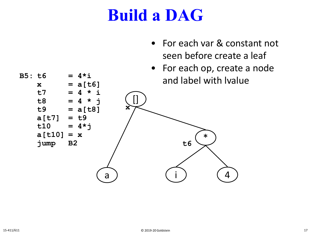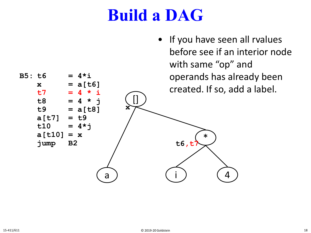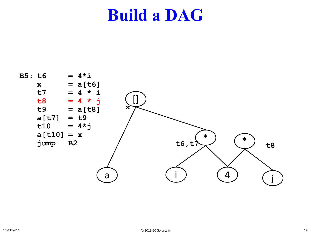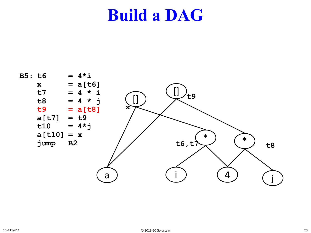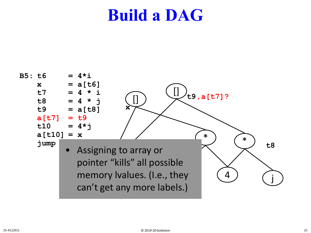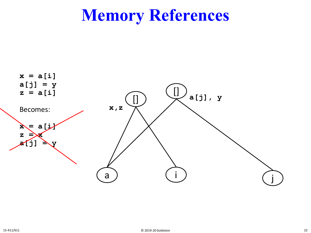## **Memory References**

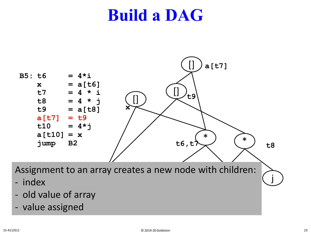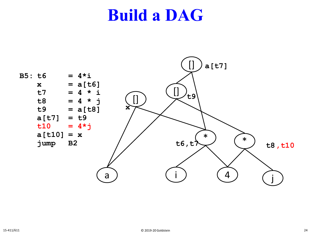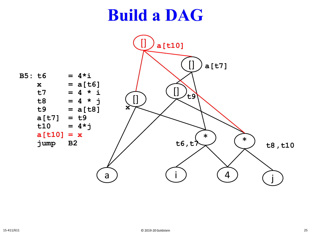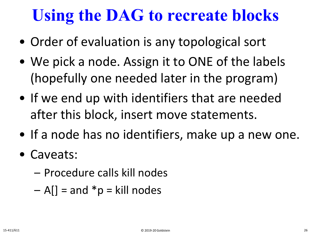# **Using the DAG to recreate blocks**

- Order of evaluation is any topological sort
- We pick a node. Assign it to ONE of the labels (hopefully one needed later in the program)
- If we end up with identifiers that are needed after this block, insert move statements.
- If a node has no identifiers, make up a new one.
- Caveats:
	- Procedure calls kill nodes
	- $A$ [] = and \*p = kill nodes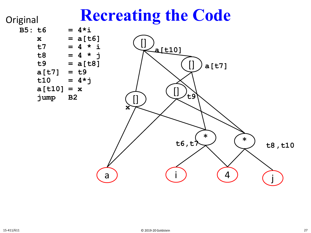#### **Recreating the Code**

**Original** 

| B5: t6 |        |                | $= 4 \star i$ |   |
|--------|--------|----------------|---------------|---|
|        | X      |                | $= a[t6]$     |   |
|        | t7     | $=$            | $4 * i$       |   |
|        | t8     |                | $= 4$ *       | Ė |
|        | t9     |                | $= a[t8]$     |   |
|        | a[t7]  |                | = t9          |   |
|        | t10    |                | $= 4*$        |   |
|        | a[t10] | $= x$          |               |   |
|        | jump   | B <sub>2</sub> |               |   |
|        |        |                |               |   |

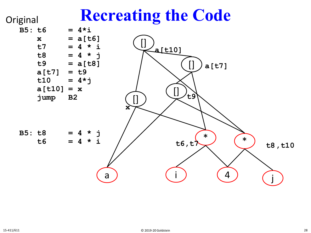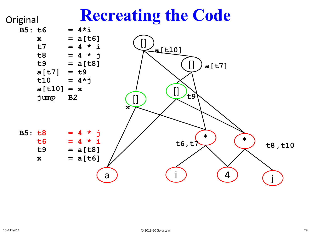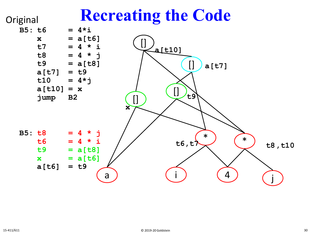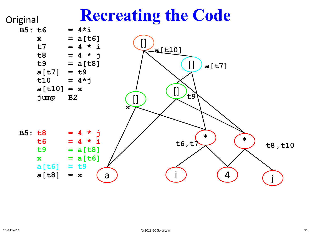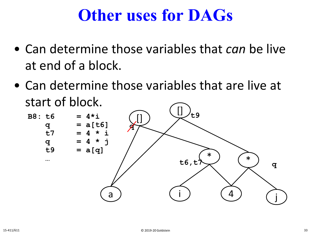#### **Other uses for DAGs**

- Can determine those variables that *can* be live at end of a block.
- Can determine those variables that are live at start of block.

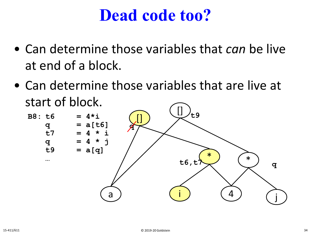#### **Dead code too?**

- Can determine those variables that *can* be live at end of a block.
- Can determine those variables that are live at start of block.

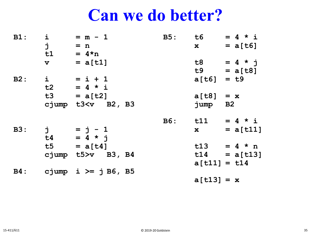#### **Can we do better?**

| $\dot{1}$<br>$B1$ : |             | $= m - 1$             | B5: t6         | $= 4 \times i$    |
|---------------------|-------------|-----------------------|----------------|-------------------|
|                     | j           | $= n$                 | $\mathbf{x}$   | $= a[t6]$         |
|                     | t1          | $= 4 \star n$         |                |                   |
|                     | $\mathbf v$ | $= a[t1]$             |                | $t8 = 4 * i$      |
|                     |             |                       |                | $t9 = a[t8]$      |
| B2:                 |             | $i = i + 1$           | $a[t6] = t9$   |                   |
|                     |             | $t2 = 4 * i$          |                |                   |
|                     |             | $t3 = a[t2]$          | $a[t8] = x$    |                   |
|                     |             | cjump $t3 < v$ B2, B3 | jump B2        |                   |
|                     |             |                       |                | B6: t11 = $4 * i$ |
| <b>B3:</b>          |             | $j = j - 1$           |                | $x = a[t11]$      |
|                     |             | $t4 = 4 * j$          |                |                   |
|                     |             | $t5 = a[t4]$          |                | $t13 = 4 * n$     |
|                     |             | cjump $t5 > v$ B3, B4 |                | $t14 = a[t13]$    |
|                     |             |                       | $a[t11] = t14$ |                   |
| <b>B4:</b>          |             | cjump i $>=$ j B6, B5 |                |                   |
|                     |             |                       | $a[t13] = x$   |                   |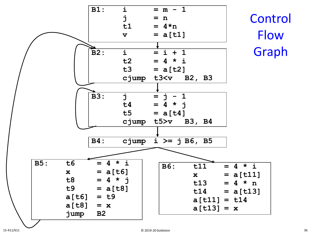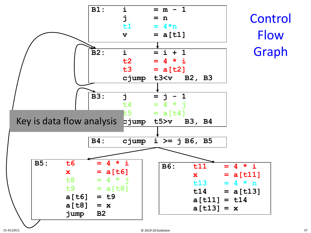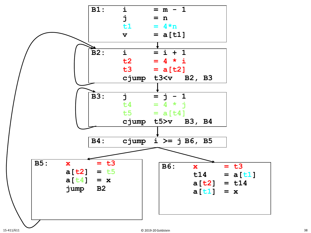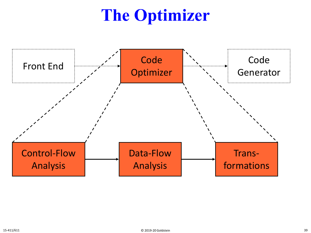## **The Optimizer**

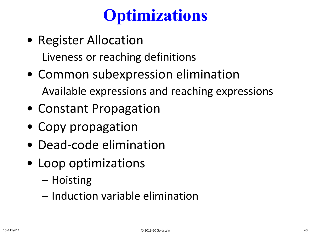## **Optimizations**

- Register Allocation Liveness or reaching definitions
- Common subexpression elimination Available expressions and reaching expressions
- Constant Propagation
- Copy propagation
- Dead-code elimination
- Loop optimizations
	- Hoisting
	- Induction variable elimination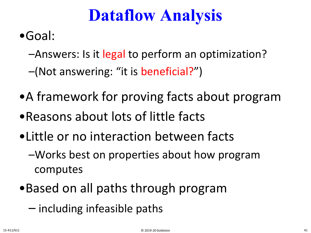### **Dataflow Analysis**

- •Goal:
	- –Answers: Is it legal to perform an optimization?
	- –(Not answering: "it is beneficial?")
- •A framework for proving facts about program
- •Reasons about lots of little facts
- •Little or no interaction between facts
	- –Works best on properties about how program computes
- •Based on all paths through program
	- including infeasible paths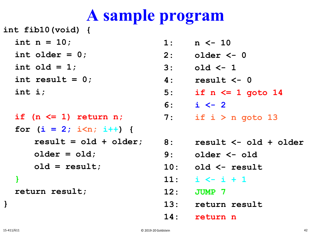### **A sample program**

**int fib10(void) {**

- **int n = 10;**
- **int older = 0;**
- **int old = 1;**
- **int result = 0;**
- **int i;**

**if (n <= 1) return n; for (i = 2; i<n; i++) { result = old + older; older = old; old = result; }**

**return result;**

- **1: n <- 10**
- **2: older <- 0**
- **3: old <- 1**
- **4: result <- 0**
- **5: if n <= 1 goto 14**
- **6: i <- 2**
- **7: if i > n goto 13**
- **8: result <- old + older**
	- **9: older <- old**
	- **10: old <- result**
	- **11: i <- i + 1**
	- **12: JUMP 7**
	- **13: return result**
	- **14: return n**

**}**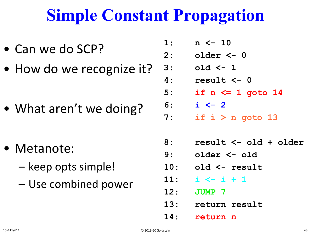### **Simple Constant Propagation**

- Can we do SCP?
- How do we recognize it?

• What aren't we doing?

- Metanote:
	- keep opts simple!
	- Use combined power
- **1: n <- 10**
- **2: older <- 0**
- **3: old <- 1**
- **4: result <- 0**
- **5: if n <= 1 goto 14**
- **6: i <- 2**
- **7: if i > n goto 13**
- **8: result <- old + older**
- **9: older <- old**
- **10: old <- result**
- **11: i <- i + 1**
- **12: JUMP 7**
- **13: return result**
- **14: return n**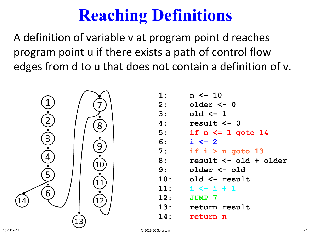## **Reaching Definitions**

A definition of variable v at program point d reaches program point u if there exists a path of control flow edges from d to u that does not contain a definition of v.



| 1:  | $n \le -10$           |
|-----|-----------------------|
| 2:  | older <- 0            |
| 3:  | old $\leftarrow$ 1    |
| 4 : | result $\leq -0$      |
| 5:  | if $n \leq 1$ goto 14 |
| 6:  | $i \leftarrow 2$      |
| 7:  | if $i > n$ goto 13    |
| 8:  | result <- old + older |
| 9:  | older <- old          |
| 10: | old <- result         |
| 11: | $i \leftarrow i + 1$  |
| 12: | <b>JUMP 7</b>         |
| 13: | return result         |
| 14: | return n              |
|     |                       |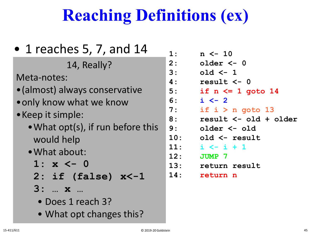## **Reaching Definitions (ex)**

| $\bullet$ 1 reaches 5, 7, and 14  | 1                            |
|-----------------------------------|------------------------------|
| 14, Really?                       | $\overline{2}$               |
| Meta-notes:                       | 3<br>$\overline{\mathbf{A}}$ |
| • (almost) always conservative    | 5                            |
| • only know what we know          | 6                            |
| • Keep it simple:                 | 7<br>8                       |
| . What opt(s), if run before this | 9                            |
| would help                        | $\mathbf 1$                  |
| · What about:                     | 1<br>1                       |
| 1: $x \leftarrow 0$               | $\overline{1}$               |
| $2:$ if (false) $x<-1$            | 1                            |
| 3:  x                             |                              |
| • Does 1 reach 3?                 |                              |

• What opt changes this?

| 1:             | $n \le -10$           |
|----------------|-----------------------|
| $\mathbf{2}$ : | older <- 0            |
| 3:             | old $\leftarrow$ 1    |
| 4 :            | result <- 0           |
| 5:             | if $n \leq 1$ goto 14 |
| 6:             | $i \leftarrow 2$      |
| 7:             | if $i > n$ goto 13    |
| 8:             | result <- old + older |
| 9:             | older <- old          |
| 10:            | old <- result         |
| 11:            | i <- i + 1            |
| 12:            | <b>JUMP 7</b>         |
| 13:            | return result         |
| 14:            | return n              |
|                |                       |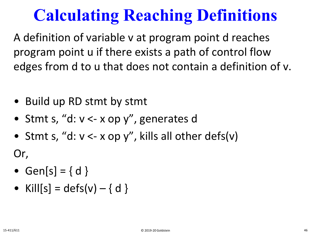## **Calculating Reaching Definitions**

A definition of variable v at program point d reaches program point u if there exists a path of control flow edges from d to u that does not contain a definition of v.

- Build up RD stmt by stmt
- Stmt s, "d: v <- x op y", generates d
- Stmt s, "d:  $v < x$  op y", kills all other defs(v)

Or,

- Gen[s] =  $\{ d \}$
- Kill $[s] = \text{defs}(v) \{ d \}$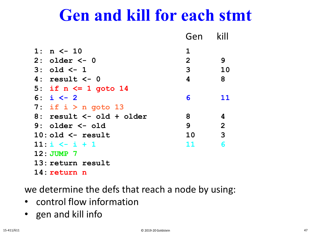### **Gen and kill for each stmt**

|                          | Gen            | kill           |
|--------------------------|----------------|----------------|
| 1: $n \le -10$           | $\mathbf 1$    |                |
| $2:$ older $<-0$         | $\overline{2}$ | 9              |
| $3: old < -1$            | 3              | 10             |
| $4: result < -0$         | 4              | 8              |
| 5: if $n \leq 1$ goto 14 |                |                |
| 6: $i \le -2$            | 6              | 11             |
| 7: if $i > n$ goto 13    |                |                |
| 8: result <- old + older | 8              | 4              |
| $9:$ older $\leq$ - old  | 9              | $\overline{2}$ |
| $10:$ old $\leq$ result  | 10             | $\overline{3}$ |
| $11: i \le -i + 1$       | 11             | 6              |
| $12:JUMP$ 7              |                |                |
| 13: return result        |                |                |
| 14: return<br>n          |                |                |

we determine the defs that reach a node by using:

- control flow information
- gen and kill info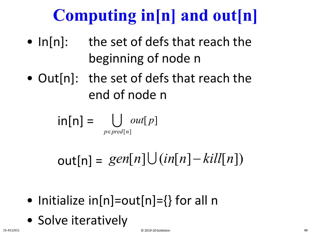# **Computing in[n] and out[n]**

- In[n]: the set of defs that reach the beginning of node n
- Out[n]: the set of defs that reach the end of node n

$$
\mathsf{in}[n] = \bigcup_{p \in \mathit{pred}[n]} \mathit{out}[p]
$$

 $out[n] = gen[n] \cup (in[n]-kill[n])$ 

- Initialize  $in[n]=out[n]=\{\}$  for all n
- Solve iteratively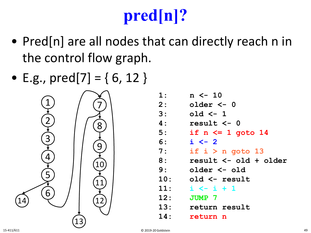# **pred[n]?**

- Pred[n] are all nodes that can directly reach n in the control flow graph.
- E.g.,  $pred[7] = \{ 6, 12 \}$



| 1:             | $n \le -10$           |
|----------------|-----------------------|
| $\mathbf{2}$ : | older <- 0            |
| 3:             | old $\leftarrow$ 1    |
| 4 :            | result <- 0           |
| 5:             | if $n \leq 1$ goto 14 |
| 6:             | $i \leftarrow 2$      |
| 7:             | if $i > n$ goto 13    |
| 8:             | result <- old + older |
| 9:             | older <- old          |
| 10:            | old <- result         |
| 11:            | $i \leftarrow i + 1$  |
| 12:            | <b>JUMP 7</b>         |
| 13:            | return result         |
| 14:            | return n              |
|                |                       |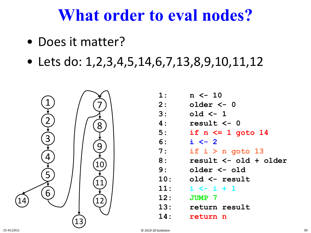### **What order to eval nodes?**

- Does it matter?
- Lets do:  $1, 2, 3, 4, 5, 14, 6, 7, 13, 8, 9, 10, 11, 12$



| 1:             | $n \le -10$           |
|----------------|-----------------------|
| $\mathbf{2}$ : | older <- 0            |
| 3:             | old $\leftarrow$ 1    |
| 4 :            | result $\leq -0$      |
| 5:             | if $n \leq 1$ goto 14 |
| 6:             | $i \leftarrow 2$      |
| 7:             | if $i > n$ goto 13    |
| 8 :            | result <- old + older |
| 9:             | older <- old          |
| 10:            | old <- result         |
| 11:            | $i \leftarrow i + 1$  |
| 12:            | <b>JUMP 7</b>         |
| 13:            | return result         |
| 14:            | return n              |
|                |                       |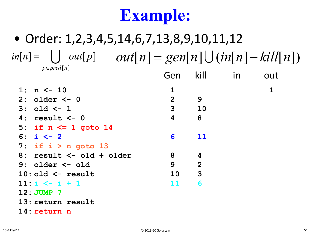## **Example:**

#### • Order: 1,2,3,4,5,14,6,7,13,8,9,10,11,12  $\text{inf}[n] = \bigcup \text{ out}[p] \quad \text{ out}[n] = \text{gen}[n] \bigcup (\text{in}[n] - \text{kill}[n])$ *p*∈ *pred*[n] **1: n <- 10 1 1 2: older <- 0 2 9 1 1,2 3: old <- 1 3 10 1,2 1,2,3 4: result <- 0 4 8 5: if n <= 1 goto 14 6: i <- 2 6 11 7: if i > n goto 13 8: result <- old + older 8 4 9: older <- old 9 2 10: old <- result 10 3 11: i <- i + 1 11 6** Gen kill in out

- **12: JUMP 7**
- **13: return result**
- **14: return n**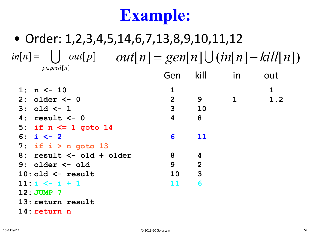## **Example:**

#### • Order: 1,2,3,4,5,14,6,7,13,8,9,10,11,12  $\text{inf}[n] = \bigcup \text{ out}[p] \quad \text{ out}[n] = \text{gen}[n] \bigcup (\text{in}[n] - \text{kill}[n])$ *p*∈ *pred*[n] **1: n <- 10 1 1 2: older <- 0 2 9 1 1,2 3: old <- 1 3 10 1,2 1,2,3 4: result <- 0 4 8 5: if n <= 1 goto 14 6: i <- 2 6 11 7: if i > n goto 13 8: result <- old + older 8 4 9: older <- old 9 2 10: old <- result 10 3 11: i <- i + 1 11 6** Gen kill in out

- **12: JUMP 7**
- **13: return result**
- **14: return n**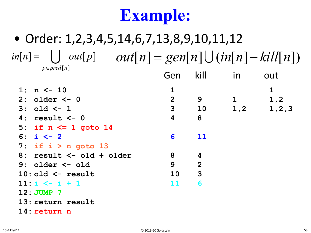## **Example:**

#### • Order: 1,2,3,4,5,14,6,7,13,8,9,10,11,12  $\text{inf}[n] = \bigcup \text{ out}[p] \quad \text{ out}[n] = \text{gen}[n] \bigcup (\text{in}[n] - \text{kill}[n])$ *p*∈ *pred*[n] **1: n <- 10 1 1 2: older <- 0 2 9 1 1,2 3: old <- 1 3 10 1,2 1,2,3 4: result <- 0 4 8 5: if n <= 1 goto 14 6: i <- 2 6 11 7: if i > n goto 13 8: result <- old + older 8 4 9: older <- old 9 2 10: old <- result 10 3 11: i <- i + 1 11 6 12: JUMP 7** Gen kill in out

- **13: return result**
- **14: return n**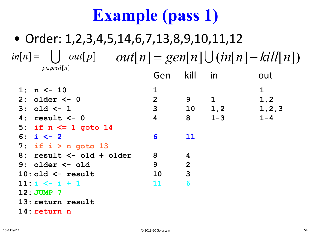#### • Order: 1,2,3,4,5,14,6,7,13,8,9,10,11,12 **1: n <- 10 1 1 2: older <- 0 2 9 1 1,2 3: old <- 1 3 10 1,2 1,2,3 4: result <- 0 4 8 1-3 1-4 5: if n <= 1 goto 14 1-4 1-4 6: i <- 2 6 11 1-4 1-4,6 7: if i > n goto 13 1-4,6 1-4,6 8: result <- old + older 8 4 1-4,6 1-3,6,8 9: older <- old 9 2 1-3,6,8 1,3,6,8,9** Gen kill in out  $\text{inf}[n] = \bigcup \text{ out}[p] \quad \text{ out}[n] = \text{gen}[n] \bigcup (\text{in}[n] - \text{kill}[n])$ *p*∈ *pred*[n]

- **10: old <- result 10 3 1,3,6,8,9 1,6,8-10**
- **11:**  $i \leq i + 1$  **11 6**
- **12:** JUMP 7
- **13: return result 1-4,6 1-4,6**
- **14: return n 1-4 1-4**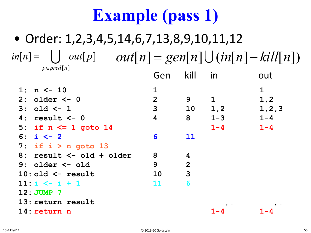#### • Order: 1,2,3,4,5,14,6,7,13,8,9,10,11,12 **1: n <- 10 1 1 2: older** <- **0 2 9 1 1**,2<br> **3: old** <- **1 3 10 1**,2 **1**,2,3 **3: old <- 1 3 10 1,2 1,2,3 4: result <- 0 4 8 1-3 1-4 5: if n <= 1 goto 14 1-4 1-4 6: i <- 2 6 11 1-4 1-4,6 7: if i > n goto 13 1-4,6 1-4,6 8: result <- old + older 8 4 1-4,6 1-3,6,8 9: older <- old 9 2 1-3,6,8 1,3,6,8,9 10: old <- result 10 3 1,3,6,8,9 1,6,8-10 11: i**  $\leftarrow$  **i** + 1 **11 6** Gen kill in out  $\text{inf}[n] = \bigcup \text{ out}[p] \quad \text{ out}[n] = \text{gen}[n] \bigcup (\text{in}[n] - \text{kill}[n])$ *p*∈ *pred*[n]

- **12:** JUMP 7
- **13: return result 1-4,6 1-4,6**
- **14: return n 1-4 1-4**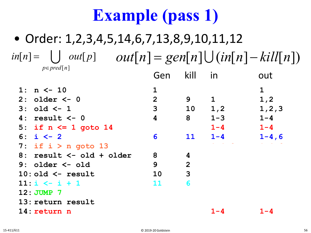#### • Order: 1,2,3,4,5,14,6,7,13,8,9,10,11,12 **1: n <- 10 1 1 2: older <- 0 2 9 1 1,2 3: old <- 1 3 10 1,2 1,2,3 4: result <- 0 4 8 1-3 1-4 5: if n <= 1 goto 14 1-4 1-4 6: i <- 2 6 11 1-4 1-4,6 7: if i > n goto 13 1-4,6 1-4,6 8: result <- old + older 8 4 1-4,6 1-3,6,8 9: older <- old 9 2 1-3,6,8 1,3,6,8,9** Gen kill in out  $\text{inf}[n] = \bigcup \text{ out}[p] \quad \text{ out}[n] = \text{gen}[n] \bigcup (\text{in}[n] - \text{kill}[n])$ *p*∈ *pred*[n]

- **10: old <- result 10 3 1,3,6,8,9 1,6,8-10**
- **11:**  $\dot{x}$  **i** + 1 **11 6**
- **12:** JUMP 7
- **13: return result 1-4,6 1-4,6**
- 

**14: return n 1-4 1-4**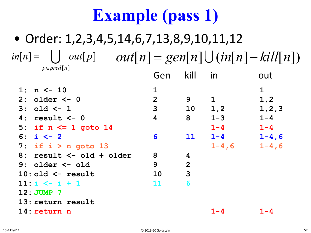#### • Order: 1,2,3,4,5,14,6,7,13,8,9,10,11,12 **1: n <- 10 1 1 2: older <- 0 2 9 1 1,2 3: old <- 1 3 10 1,2 1,2,3 4: result <- 0 4 8 1-3 1-4 5: if n <= 1 goto 14 1-4 1-4 6: i <- 2 6 11 1-4 1-4,6 7: if i > n goto 13 1-4,6 1-4,6 8: result <- old + older 8 4 1-4,6 1-3,6,8 9: older <- old 9 2 1-3,6,8 1,3,6,8,9 10: old <- result 10 3 1,3,6,8,9 1,6,8-10** Gen kill in out  $\text{inf}[n] = \bigcup \text{ out}[p] \quad \text{ out}[n] = \text{gen}[n] \bigcup (\text{in}[n] - \text{kill}[n])$ *p*∈ *pred*[n]

**11: i**  $\leftarrow$  **i** + 1 **11 6 12:** JUMP 7 **13: return result 1-4,6 1-4,6 14: return n 1-4 1-4**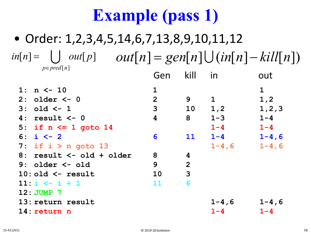#### • Order: 1,2,3,4,5,14,6,7,13,8,9,10,11,12 **1: n <- 10 1 1 2: older <- 0 2 9 1 1,2 3: old <- 1 3 10 1,2 1,2,3 4: result <- 0 4 8 1-3 1-4 5: if n <= 1 goto 14 1-4 1-4 6: i <- 2 6 11 1-4 1-4,6 7: if i > n goto 13 1-4,6 1-4,6 8: result <- old + older 8 4 1-4,6 1-3,6,8 9: older <- old 9 2 1-3,6,8 1,3,6,8,9 10: old <- result 10 3 1,3,6,8,9 1,6,8-10 11: i**  $\leftarrow$  **i** + 1 **11 6** Gen kill in out  $\text{inf}[n] = \bigcup \text{ out}[p] \quad \text{ out}[n] = \text{gen}[n] \bigcup (\text{in}[n] - \text{kill}[n])$ *p*∈ *pred*[n]

**12:** JUMP 7 **13: return result 1-4,6 1-4,6 14: return n 1-4 1-4**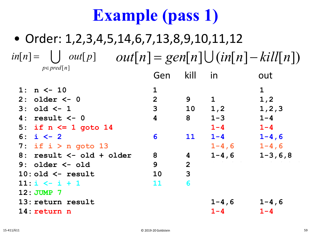#### • Order: 1,2,3,4,5,14,6,7,13,8,9,10,11,12 **1: n <- 10 1 1 2: older <- 0 2 9 1 1,2 3: old <- 1 3 10 1,2 1,2,3 4: result <- 0 4 8 1-3 1-4 5: if n <= 1 goto 14 1-4 1-4 6: i <- 2 6 11 1-4 1-4,6 7: if i > n goto 13 1-4,6 1-4,6 8: result <- old + older 8 4 1-4,6 1-3,6,8 9: older <- old 9 2 1-3,6,8 1,3,6,8,9 10: old <- result 10 3 1,3,6,8,9 1,6,8-10 11:**  $i \leq i + 1$  **11 6** Gen kill in out  $\text{inf}[n] = \bigcup \text{ out}[p] \quad \text{ out}[n] = \text{gen}[n] \bigcup (\text{in}[n] - \text{kill}[n])$ *p*∈ *pred*[n]

**12:** JUMP 7 **13: return result 1-4,6 1-4,6 14: return n 1-4 1-4**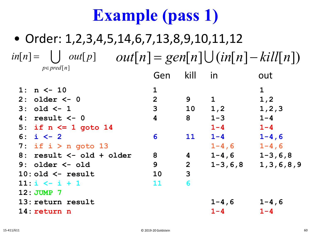#### • Order: 1,2,3,4,5,14,6,7,13,8,9,10,11,12 **1: n <- 10 1 1 2: older <- 0 2 9 1 1,2 3: old <- 1 3 10 1,2 1,2,3 4: result <- 0 4 8 1-3 1-4 5: if n <= 1 goto 14 1-4 1-4 6: i <- 2 6 11 1-4 1-4,6 7: if i > n goto 13 1-4,6 1-4,6 8: result <- old + older 8 4 1-4,6 1-3,6,8 9: older <- old 9 2 1-3,6,8 1,3,6,8,9 10: old <- result 10 3 1,3,6,8,9 1,6,8-10 11: i**  $\leftarrow$  **i** + 1 **11 6** Gen kill in out  $in[n] =$   $\bigcup$   $out[p]$ *p*∈ *pred*[n]  $out[p]$   $out[n] = gen[n] \cup (in[n] - kill[n])$

**12:** JUMP 7 **13: return result 1-4,6 1-4,6**

**14: return n 1-4 1-4**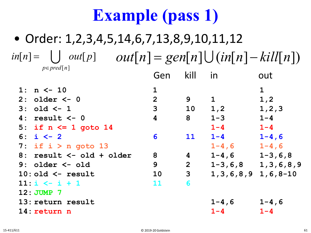#### • Order: 1,2,3,4,5,14,6,7,13,8,9,10,11,12 **1: n <- 10 1 1 2: older <- 0 2 9 1 1,2 3: old <- 1 3 10 1,2 1,2,3 4: result <- 0 4 8 1-3 1-4 5: if n <= 1 goto 14 1-4 1-4 6: i <- 2 6 11 1-4 1-4,6 7: if i > n goto 13 1-4,6 1-4,6 8: result <- old + older 8 4 1-4,6 1-3,6,8** Gen kill in out  $in[n] =$   $\bigcup$   $out[p]$ *p*∈ *pred*[n]  $out[p]$   $out[n] = gen[n] \cup (in[n] - kill[n])$

**10: old <- result 10 3 1,3,6,8,9 1,6,8-10 11: i**  $\leftarrow$  **i** + 1 **11 6 12:** JUMP 7 **13: return result 1-4,6 1-4,6 14: return n 1-4 1-4**

**9: older <- old 9 2 1-3,6,8 1,3,6,8,9**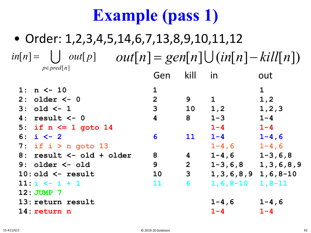#### • Order: 1,2,3,4,5,14,6,7,13,8,9,10,11,12 **1: n <- 10 1 1 2: older <- 0 2 9 1 1,2 3: old <- 1 3 10 1,2 1,2,3 4: result <- 0 4 8 1-3 1-4 5: if n <= 1 goto 14 1-4 1-4 6: i <- 2 6 11 1-4 1-4,6 7: if i > n goto 13 1-4,6 1-4,6 8: result <- old + older 8 4 1-4,6 1-3,6,8 9: older <- old 9 2 1-3,6,8 1,3,6,8,9 10: old <- result 10 3 1,3,6,8,9 1,6,8-10 11: i <- i + 1 11 6 1,6,8-10 1,8-11 12:** JUMP 7 **13: return result 1-4,6 1-4,6** Gen kill in out  $in[n] =$   $\bigcup$   $out[p]$ *p*∈ *pred*[n]  $out[p]$   $out[n] = gen[n] \cup (in[n] - kill[n])$

**14: return n 1-4 1-4**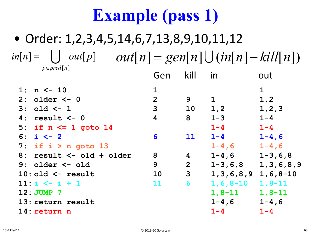#### • Order: 1,2,3,4,5,14,6,7,13,8,9,10,11,12 **1: n <- 10 1 1 2: older <- 0 2 9 1 1,2 3: old <- 1 3 10 1,2 1,2,3 4: result <- 0 4 8 1-3 1-4 5: if n <= 1 goto 14 1-4 1-4 6: i <- 2 6 11 1-4 1-4,6 7: if i > n goto 13 1-4,6 1-4,6 8: result <- old + older 8 4 1-4,6 1-3,6,8 9: older <- old 9 2 1-3,6,8 1,3,6,8,9 10: old <- result 10 3 1,3,6,8,9 1,6,8-10 11: i <- i + 1 11 6 1,6,8-10 1,8-11 12: JUMP 7 1,8-11 1,8-11** Gen kill in out  $\text{inf}[n] = \bigcup \text{ out}[p] \quad \text{out}[n] = \text{gen}[n] \bigcup (\text{in}[n] - \text{kill}[n])$ *p*∈ *pred*[n]  $\bigcup$

- **13: return result 1-4,6 1-4,6**
- **14: return n 1-4 1-4**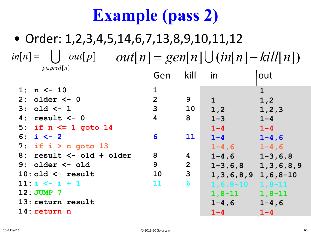|                          | Gen                     | kill           | in                         | out                       |
|--------------------------|-------------------------|----------------|----------------------------|---------------------------|
| $1: n \le -10$           | $\mathbf 1$             |                |                            | $\mathbf{1}$              |
| 2: older $<-0$           | 2 <sup>1</sup>          | 9              | $\mathbf{1}$               | 1,2                       |
| $3: old < -1$            | $\mathbf{3}$            | 10             | 1,2                        | 1, 2, 3                   |
| $4: result < -0$         | $\overline{\mathbf{4}}$ | 8              | $1 - 3$                    | $1 - 4$                   |
| 5: if $n \le 1$ goto 14  |                         |                | $1 - 4$                    | $1 - 4$                   |
| 6: $i \le -2$            | 6                       | <b>11</b>      | $1 - 4$                    | $1 - 4, 6$                |
| 7: if $i > n$ goto 13    |                         |                | $1 - 4, 6$                 | $1 - 4, 6$                |
| 8: result <- old + older | 8                       | 4              | $1 - 4, 6$                 | $1 - 3, 6, 8$             |
| $9:$ older $\leq -$ old  | 9                       | $\overline{2}$ |                            | $1-3, 6, 8$ 1, 3, 6, 8, 9 |
| $10:$ old $\leq$ result  | 10                      | $\mathbf{3}$   | $1, 3, 6, 8, 9$ 1, 6, 8-10 |                           |
| $11: i \le -i + 1$       | <b>11</b>               | 6              | $1, 6, 8 - 10$             | $1, 8 - 11$               |
| $12:JUMP$ 7              |                         |                | $1,8-11$                   | $1, 8 - 11$               |
| 13: return result        |                         |                | $1 - 4, 6$                 | $1 - 4, 6$                |
| 14: return n             |                         |                | $1 - 4$                    | $1 - 4$                   |
|                          |                         |                |                            |                           |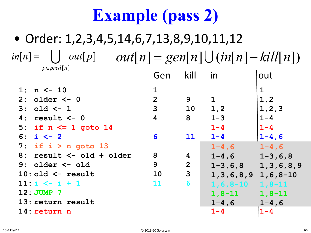| $1: n \le -10$<br>$\mathbf 1$                                         |               |
|-----------------------------------------------------------------------|---------------|
| $\overline{2}$<br>9<br>1, 2<br>$\mathbf 1$<br>$2:$ older $<-0$        |               |
| 3<br>1, 2<br>10<br>$3: old < -1$                                      | 1, 2, 3       |
| $1 - 4$<br>$1 - 3$<br>8<br>result <- 0<br>4<br>4:                     |               |
| $1 - 4$<br>$1 - 4$<br>5: if $n \leq 1$ goto 14                        |               |
| $1 - 4$<br>6: $i \leftarrow 2$<br>6<br><b>11</b>                      | $1 - 4, 6$    |
| 7: if $i > n$ goto 13<br>$1 - 4, 6$                                   | $1 - 4, 6$    |
| 8<br>8: result $\leq -$ old + older<br>$\boldsymbol{4}$<br>$1 - 4, 6$ | $1 - 3, 6, 8$ |
| 9<br>$\overline{2}$<br>$9:$ older $\leq -$ old<br>$1 - 3, 6, 8$       | 1, 3, 6, 8, 9 |
| 3<br>$10:$ old $\leq$ result<br>10<br>$1, 3, 6, 8, 9$ 1, 6, 8-10      |               |
| 6<br>$11: i \le i + 1$<br>11<br>$1, 6, 8 - 10$                        | $1, 8 - 11$   |
| $12:JUMP$ 7<br>$1, 8 - 11$                                            | $1, 8 - 11$   |
| 13: return result<br>$1 - 4, 6$                                       | $1 - 4, 6$    |
| $1 - 4$<br>$1 - 4$<br>14: return n                                    |               |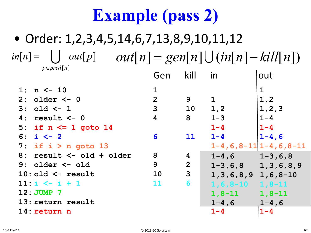|    | $1: n \le -10$           | $\mathbf{1}$   |                |                            |                               |
|----|--------------------------|----------------|----------------|----------------------------|-------------------------------|
|    | $2:$ older $\leq -0$     | $\overline{2}$ | 9              | $\mathbf 1$                | 1, 2                          |
|    | $3: old < -1$            | 3              | 10             | 1, 2                       | 1, 2, 3                       |
| 4: | result <- 0              | 4              | 8              | $1 - 3$                    | $1 - 4$                       |
|    | 5: if $n \leq 1$ goto 14 |                |                | $1 - 4$                    | $1 - 4$                       |
|    | 6: $i \le -2$            | 6              | 11             | $1 - 4$                    | $1 - 4, 6$                    |
|    | 7: if $i > n$ goto 13    |                |                |                            | $1-4, 6, 8-11$ $1-4, 6, 8-11$ |
|    | 8: result <- old + older | 8              | 4              | $1-4, 6$ $1-3, 6, 8$       |                               |
|    | $9:$ older $\leq -$ old  | 9              | $\overline{2}$ | $1-3, 6, 8$ 1, 3, 6, 8, 9  |                               |
|    | $10:$ old $\leq$ result  | 10             | $\mathbf{3}$   | $1, 3, 6, 8, 9$ 1, 6, 8-10 |                               |
|    | $11: i \le i + 1$        | 11             | 6              | $1, 6, 8 - 10$             | $1, 8 - 11$                   |
|    | 12: JUMP 7               |                |                | $1, 8 - 11$                | $1, 8 - 11$                   |
|    | 13: return result        |                |                | $1 - 4, 6$                 | $1 - 4, 6$                    |
|    | 14: return n             |                |                | $1 - 4$                    | $1 - 4$                       |
|    |                          |                |                |                            |                               |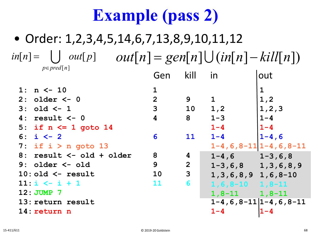|    | 1: $n \le -10$           | 1              |                |                            |                               |
|----|--------------------------|----------------|----------------|----------------------------|-------------------------------|
|    | $2:$ older $<-0$         | $\overline{2}$ | 9              | $\mathbf{1}$               | 1, 2                          |
|    | $3: old < -1$            | 3              | 10             | 1, 2                       | 1, 2, 3                       |
| 4: | result <- 0              | 4              | 8              | $1 - 3$                    | $1 - 4$                       |
|    | 5: if $n \le 1$ goto 14  |                |                | $1 - 4$                    | $1 - 4$                       |
|    | 6: $i \le -2$            | 6              | <b>11</b>      | $1 - 4$                    | $1 - 4, 6$                    |
|    | 7: if $i > n$ goto 13    |                |                |                            | $1-4, 6, 8-11$ $1-4, 6, 8-11$ |
|    | 8: result <- old + older | 8              | 4              | $1-4, 6$ $1-3, 6, 8$       |                               |
|    | $9:$ older $\leq -$ old  | 9              | $\overline{2}$ | $1-3, 6, 8$ 1, 3, 6, 8, 9  |                               |
|    | $10:$ old $\leq$ result  | 10             | $\mathbf{3}$   | $1, 3, 6, 8, 9$ 1, 6, 8-10 |                               |
|    | $11: i \le -i + 1$       | 11             | 6              | $1, 6, 8 - 10$ 1, 8 - 11   |                               |
|    | 12: JUMP 7               |                |                | $1,8-11$ $1,8-11$          |                               |
|    | 13: return result        |                |                |                            | $1-4, 6, 8-11$ $1-4, 6, 8-11$ |
|    | 14: return n             |                |                | $1 - 4$                    | $1 - 4$                       |
|    |                          |                |                |                            |                               |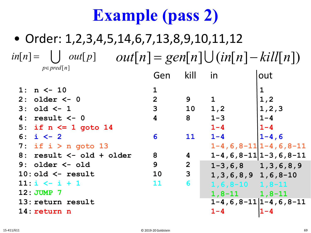|    | $1: n \le -10$                   | 1              |              |                            |                               |
|----|----------------------------------|----------------|--------------|----------------------------|-------------------------------|
|    | $2:$ older $\leq -0$             | $\overline{2}$ | 9            | $\mathbf 1$                | 1, 2                          |
|    | $3: old < -1$                    | 3              | 10           | 1, 2                       | 1, 2, 3                       |
| 4: | result <- 0                      | 4              | 8            | $1 - 3$                    | $1 - 4$                       |
|    | 5: if $n \le 1$ goto 14          |                |              | $1 - 4$                    | $1 - 4$                       |
|    | 6: $i \le -2$                    | 6              | <b>11</b>    | $1 - 4$                    | $1 - 4, 6$                    |
|    | 7: if $i > n$ goto 13            |                |              |                            | $1-4, 6, 8-11$ $1-4, 6, 8-11$ |
|    | $8:$ result $\leq -$ old + older | 8              | 4            |                            | $1-4, 6, 8-11$   1-3, 6, 8-11 |
|    | $9:$ older $\leq -$ old          | 9              | $\mathbf{2}$ | $1-3, 6, 8$ 1, 3, 6, 8, 9  |                               |
|    | $10:$ old $\leq$ result          | 10             | 3            | $1, 3, 6, 8, 9$ 1, 6, 8-10 |                               |
|    | $11: i \le i + 1$                | 11             | 6            | $1, 6, 8 - 10$ 1, 8 - 11   |                               |
|    | 12: JUMP 7                       |                |              | $1,8-11$ $1,8-11$          |                               |
|    | 13: return result                |                |              |                            | $1-4, 6, 8-11$ $1-4, 6, 8-11$ |
|    | 14: return n                     |                |              | $1 - 4$                    | $1 - 4$                       |
|    |                                  |                |              |                            |                               |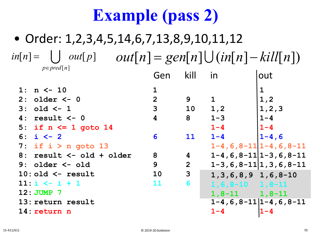|    | $1: n \le -10$           | $\mathbf 1$    |                |                            | $\mathbf 1$                     |
|----|--------------------------|----------------|----------------|----------------------------|---------------------------------|
|    | $2:$ older $\leq -0$     | $\overline{2}$ | 9              | $\mathbf{1}$               | 1, 2                            |
|    | $3: old < -1$            | 3              | 10             | 1, 2                       | 1, 2, 3                         |
| 4: | result $<-0$             | 4              | 8              | $1 - 3$                    | $1 - 4$                         |
|    | 5: if $n \leq 1$ goto 14 |                |                | $1 - 4$                    | $1 - 4$                         |
|    | 6: $i \le -2$            | 6              | <b>11</b>      | $1 - 4$                    | $1 - 4, 6$                      |
|    | 7: if $i > n$ goto 13    |                |                |                            | $1-4, 6, 8-11$ $1-4, 6, 8-11$   |
| 8: | result <- old + older    | 8              | 4              |                            | $1-4, 6, 8-11$   1-3, 6, 8-11   |
|    | $9:$ older $\leq -$ old  | 9              | $\overline{2}$ |                            | $1-3, 6, 8-11$  1,3,6,8-11      |
|    | $10:$ old $\leq$ result  | 10             | $\mathbf{3}$   | $1, 3, 6, 8, 9$ 1, 6, 8-10 |                                 |
|    | $11: i \le i + 1$        | 11             | 6              | $1, 6, 8 - 10$ $1, 8 - 11$ |                                 |
|    | 12: JUMP 7               |                |                | $1,8-11$ $1,8-11$          |                                 |
|    | 13: return result        |                |                |                            | $1-4, 6, 8-11$   $1-4, 6, 8-11$ |
|    | 14: return n             |                |                | $1 - 4$                    | $1 - 4$                         |
|    |                          |                |                |                            |                                 |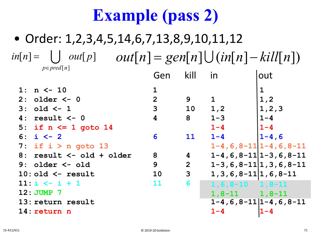|     | 1: $n \le -10$           | $\mathbf{1}$   |                |                                |                               |
|-----|--------------------------|----------------|----------------|--------------------------------|-------------------------------|
|     | $2:$ older $\leq -0$     | $\overline{2}$ | 9              | $\mathbf{1}$                   | 1, 2                          |
|     | $3: old < -1$            | 3              | 10             | 1, 2                           | 1, 2, 3                       |
| 4 : | result $<-0$             | 4              | 8              | $1 - 3$                        | $1 - 4$                       |
|     | 5: if $n \leq 1$ goto 14 |                |                | $1 - 4$                        | $1 - 4$                       |
|     | 6: $i \le -2$            | 6              | <b>11</b>      | $1 - 4$                        | $1 - 4, 6$                    |
|     | 7: if $i > n$ goto 13    |                |                |                                | $1-4, 6, 8-11$ $1-4, 6, 8-11$ |
| 8 : | result <- old + older    | 8              | $\overline{4}$ |                                | $1-4, 6, 8-11$   1-3, 6, 8-11 |
|     | $9:$ older $\leq$ old    | 9              | $\overline{2}$ |                                | $1-3, 6, 8-11 1, 3, 6, 8-11$  |
|     | $10:$ old $\leq$ result  | <b>10</b>      | $\mathbf{3}$   | $1, 3, 6, 8 - 11 1, 6, 8 - 11$ |                               |
|     | $11: i \le i + 1$        | 11             | 6              | $1, 6, 8 - 10$ $1, 8 - 11$     |                               |
|     | 12: JUMP 7               |                |                | $1,8-11$ $1,8-11$              |                               |
|     | 13: return result        |                |                |                                | $1-4, 6, 8-11$ $1-4, 6, 8-11$ |
|     | 14: return n             |                |                | $1 - 4$                        | $1 - 4$                       |
|     |                          |                |                |                                |                               |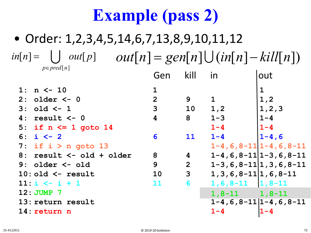|                                 | $1: n \le -10$           | $\mathbf{1}$            |                |                                | $\mathbf 1$                   |
|---------------------------------|--------------------------|-------------------------|----------------|--------------------------------|-------------------------------|
|                                 | $2:$ older $\leq -0$     | $\overline{2}$          | 9              | $\mathbf{1}$                   | 1, 2                          |
|                                 | $3: old < -1$            | 3                       | 10             | 1,2                            | 1, 2, 3                       |
| 4:                              | result $<-0$             | $\overline{\mathbf{4}}$ | 8              | $1 - 3$                        | $1 - 4$                       |
|                                 | 5: if $n \leq 1$ goto 14 |                         |                | $1 - 4$                        | $1 - 4$                       |
|                                 | 6: $i \le -2$            | 6                       | <b>11</b>      | $1 - 4$                        | $1 - 4, 6$                    |
|                                 | 7: if $i > n$ goto 13    |                         |                |                                | $1-4, 6, 8-11$ $1-4, 6, 8-11$ |
| 8:                              | result <- old + older    | 8                       | 4              |                                | $1-4, 6, 8-11$   1-3, 6, 8-11 |
|                                 | $9:$ older $\leq -$ old  | 9                       | $\overline{2}$ |                                | $1-3, 6, 8-11 1, 3, 6, 8-11$  |
|                                 | $10:$ old $\leq$ result  | 10                      | $\mathbf{3}$   | $1, 3, 6, 8 - 11 1, 6, 8 - 11$ |                               |
|                                 | $11: i \le i + 1$        | 11                      | 6              | $1, 6, 8-11$   1, 8-11         |                               |
| 12: JUMP 7<br>$1,8-11$ $1,8-11$ |                          |                         |                |                                |                               |
|                                 | 13: return result        |                         |                |                                | $1-4, 6, 8-11$ $1-4, 6, 8-11$ |
|                                 | 14: return n             |                         |                | $1 - 4$                        | $1 - 4$                       |
|                                 |                          |                         |                |                                |                               |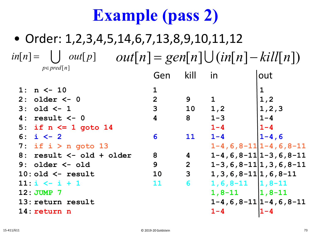| 2<br>1,2<br>9<br>$\mathbf 1$<br>$2:$ older $\leq -0$                            |  |
|---------------------------------------------------------------------------------|--|
| 3<br>10<br>1, 2, 3<br>1, 2<br>$3: old < -1$                                     |  |
| $1 - 4$<br>$1 - 3$<br>4<br>8<br>4:<br>result <- 0                               |  |
| $1 - 4$<br>$1 - 4$<br>5: if $n \le 1$ goto 14                                   |  |
| $1 - 4, 6$<br>$1 - 4$<br>6: $i \le -2$<br><b>11</b><br>6                        |  |
| $1-4, 6, 8-11$ $1-4, 6, 8-11$<br>7: if $i > n$ goto 13                          |  |
| $1-4, 6, 8-11$   1-3, 6, 8-11<br>8: result <- old + older<br>8<br>4             |  |
| 9<br>$1-3, 6, 8-11 1, 3, 6, 8-11$<br>$\overline{2}$<br>$9:$ older $\leq -$ old  |  |
| $\mathbf{3}$<br>$1, 3, 6, 8 - 11 1, 6, 8 - 11$<br>$10:$ old $\leq$ result<br>10 |  |
| 6<br>$1, 6, 8-11$   1, 8-11<br>$11: i \le i + 1$<br>11                          |  |
| $1, 8-11$ $1, 8-11$<br>12: JUMP 7                                               |  |
| $1-4, 6, 8-11$   $1-4, 6, 8-11$<br>13: return result                            |  |
| $1 - 4$<br>14: return n<br>$1 - 4$                                              |  |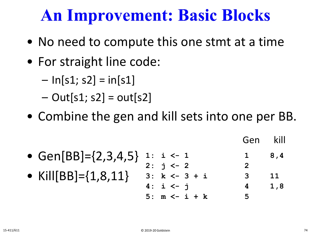### **An Improvement: Basic Blocks**

- No need to compute this one stmt at a time
- For straight line code:
	- $-$  ln[s1; s2] = in[s1]
	- $-$  Out[s1; s2] = out[s2]
- Combine the gen and kill sets into one per BB.

• Gen[BB]={2,3,4,5} • Kill[BB]={1,8,11} **1: i <- 1 1 8,4 2: j <- 2 2 3: k <- 3 + i 3 11 4: i <- j 4 1,8 5: m <- i + k 5** Gen kill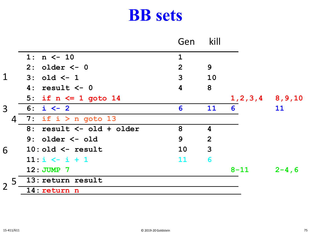#### **BB sets**

|                |                           | Gen          | kill             |                       |            |
|----------------|---------------------------|--------------|------------------|-----------------------|------------|
|                | 1: $n \le -10$            | $\mathbf{1}$ |                  |                       |            |
|                | $2:$ older $<-0$          | 2            | 9                |                       |            |
| $\mathbf 1$    | $3:$ old $\lt-1$          | 3            | <b>10</b>        |                       |            |
|                | $4: result < -0$          | 4            | 8                |                       |            |
|                | 5: if $n \le 1$ goto 14   |              |                  | $1, 2, 3, 4$ 8, 9, 10 |            |
| 3 <sup>1</sup> | $6: i < -2$               | 6            | 11               | 6                     | 11         |
| 4              | 7: if $i > n$ goto 13     |              |                  |                       |            |
|                | 8: result <- old + older  | 8            | $\boldsymbol{4}$ |                       |            |
|                | $9:$ older $\leq -$ old   | 9            | 2                |                       |            |
| 6              | $10:$ old $\leq$ - result | 10           | $\mathbf{3}$     |                       |            |
|                | $11: i \le i + 1$         | 11           | 6                |                       |            |
|                | 12: JUMP 7                |              |                  | $8 - 11$              | $2 - 4, 6$ |
|                | 5 13: return result       |              |                  |                       |            |
| $\overline{2}$ | 14: return n              |              |                  |                       |            |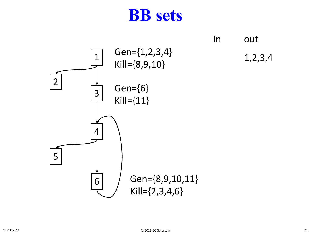#### **BB sets**

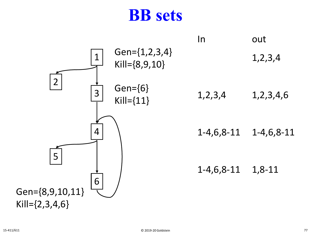#### **BB sets**

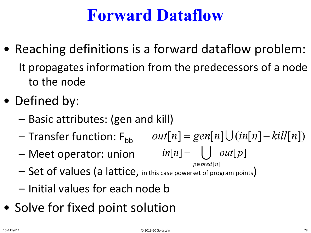#### **Forward Dataflow**

- Reaching definitions is a forward dataflow problem: It propagates information from the predecessors of a node to the node
- Defined by:
	- Basic attributes: (gen and kill)
	- $-$  Transfer function:  $F_{bb}$  $out[n] = gen[n] \cup (in[n] - kill[n])$

 $in[n] =$   $\bigcup$   $out[p]$ 

- Meet operator: union
- Set of values (a lattice, in this case powerset of program points) *p*∈ *pred*[n]
- Initial values for each node b
- Solve for fixed point solution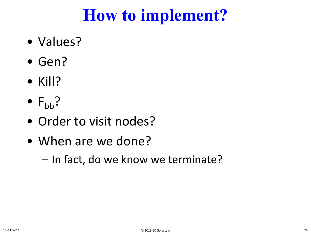## **How to implement?**

- Values?
- Gen?
- Kill?
- $F_{bb}$ ?
- Order to visit nodes?
- When are we done?
	- In fact, do we know we terminate?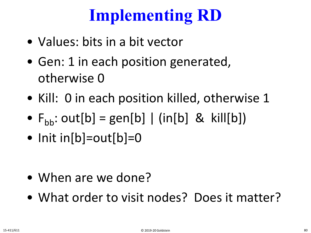# **Implementing RD**

- Values: bits in a bit vector
- Gen: 1 in each position generated, otherwise 0
- Kill: 0 in each position killed, otherwise 1
- $F_{\text{bb}}$ : out[b] = gen[b] | (in[b] & kill[b])
- Init in[b]=out[b]=0

- When are we done?
- What order to visit nodes? Does it matter?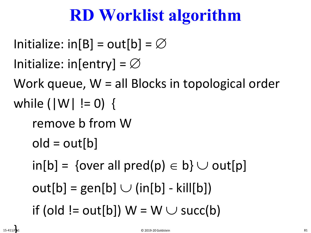# **RD Worklist algorithm**

```
Initialize: in[B] = out[b] = \emptysetInitialize: in[entry] = \varnothingWork queue, W = all Blocks in topological order
while (|W| != 0) {
   remove b from W
   old = out[b]in[b] = \{over all pred(p) \in b\} \cup out[p]out[b] = gen[b] \cup (in[b] - kill[b])if (old != out[b]) W = W \cup succ(b)
```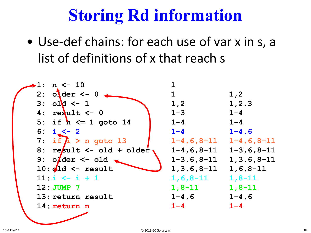# **Storing Rd information**

• Use-def chains: for each use of var x in s, a list of definitions of x that reach s

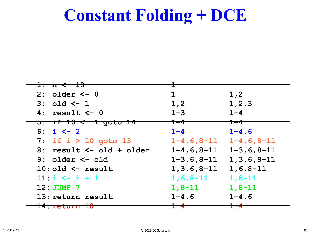#### **Constant Folding + DCE**

| <del>1: n &lt;- 10</del>            |                   |                                                            |
|-------------------------------------|-------------------|------------------------------------------------------------|
|                                     |                   |                                                            |
| $2:$ older $<-0$                    | $\mathbf 1$       | 1,2                                                        |
| $3: old < -1$                       | 1, 2              | 1, 2, 3                                                    |
| $4: result < -0$                    | $1 - 3$           | $1 - 4$                                                    |
| <del>5: if 10 &lt;= 1 goto 14</del> | <del>1–4−</del>   | $\textcolor{red}{\textbf{1--4}}\textcolor{white}{\bullet}$ |
| 6: $i \le -2$                       | $1 - 4$           | $1 - 4, 6$                                                 |
| 7: if $i > 10$ goto 13              | $1 - 4$ , 6, 8-11 | $1 - 4, 6, 8 - 11$                                         |
| $8:$ result $\leq -$ old + older    |                   | $1-4, 6, 8-11$ $1-3, 6, 8-11$                              |
| $9:$ older $\leq$ old               |                   | $1-3, 6, 8-11$ 1, 3, 6, 8-11                               |
| $10:$ old $\leq$ result             | $1, 3, 6, 8 - 11$ | $1, 6, 8 - 11$                                             |
| $11: i \le i + 1$                   | $1, 6, 8 - 11$    | $1, 8 - 11$                                                |
| $12:JUMP$ 7                         | $1, 8 - 11$       | $1, 8 - 11$                                                |
| 13: return result                   | $1 - 4$ , 6       | $1 - 4, 6$                                                 |
| I CETA CIA I I 41                   |                   |                                                            |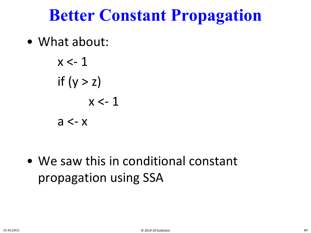#### **Better Constant Propagation**

• What about:

$$
x < -1
$$
\nif  $(y > z)$ 

\n $x < -1$ 

\n $a < -x$ 

• We saw this in conditional constant propagation using SSA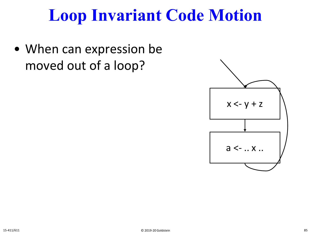### **Loop Invariant Code Motion**

• When can expression be moved out of a loop?

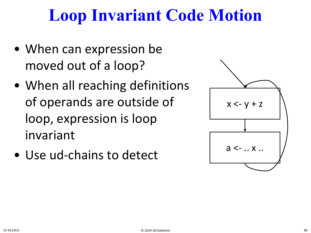## **Loop Invariant Code Motion**

- When can expression be moved out of a loop?
- When all reaching definitions of operands are outside of loop, expression is loop invariant
- Use ud-chains to detect

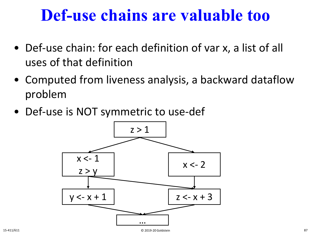#### **Def-use chains are valuable too**

- Def-use chain: for each definition of var x, a list of all uses of that definition
- Computed from liveness analysis, a backward dataflow problem
- Def-use is NOT symmetric to use-def

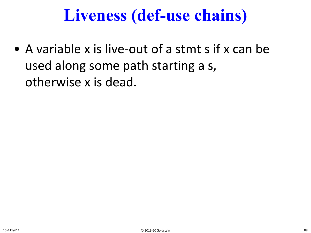## **Liveness (def-use chains)**

• A variable x is live-out of a stmt s if x can be used along some path starting a s, otherwise x is dead.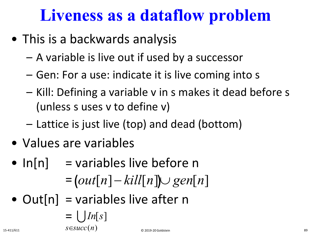## **Liveness as a dataflow problem**

- This is a backwards analysis
	- A variable is live out if used by a successor
	- Gen: For a use: indicate it is live coming into s
	- Kill: Defining a variable v in s makes it dead before s (unless s uses v to define v)
	- Lattice is just live (top) and dead (bottom)
- Values are variables
- $ln[n]$  = variables live before n

$$
= (out[n] - kill[n]) \cup gen[n]
$$

• Out $[n]$  = variables live after n

$$
= \bigcup_{15-411/611} In[s]
$$
  
 $S \in succ(n)$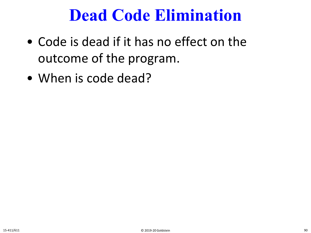#### **Dead Code Elimination**

- Code is dead if it has no effect on the outcome of the program.
- When is code dead?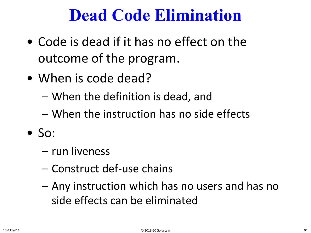#### **Dead Code Elimination**

- Code is dead if it has no effect on the outcome of the program.
- When is code dead?
	- When the definition is dead, and
	- When the instruction has no side effects
- $\bullet$  So:
	- run liveness
	- Construct def-use chains
	- Any instruction which has no users and has no side effects can be eliminated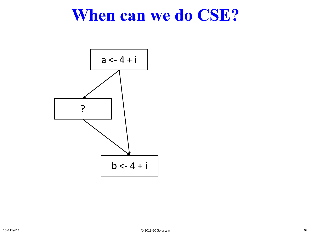#### **When can we do CSE?**

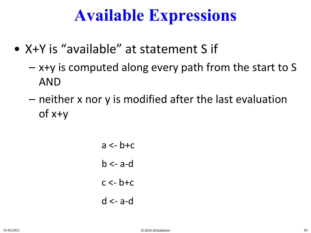#### **Available Expressions**

- X+Y is "available" at statement S if
	- x+y is computed along every path from the start to S AND
	- neither x nor y is modified after the last evaluation of x+y
		- $a \leq -b + c$  $b \leq -a$ -d  $c < -b+c$ d <- a-d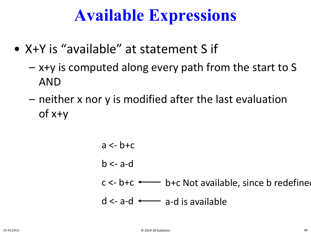### **Available Expressions**

- X+Y is "available" at statement S if
	- x+y is computed along every path from the start to S AND
	- neither x nor y is modified after the last evaluation of x+y
		- $a \leq -b + c$  $b \leq -a$ -d  $c < b+c$   $\longleftarrow$  b+c Not available, since b redefined d <- a-d a-d is available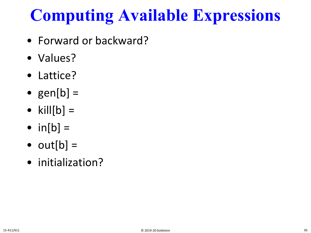# **Computing Available Expressions**

- Forward or backward?
- Values?
- Lattice?
- gen $[b] =$
- kill $[b] =$
- $in[b] =$
- $out[b] =$
- initialization?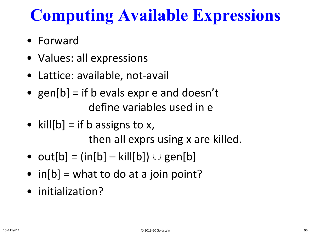# **Computing Available Expressions**

- Forward
- Values: all expressions
- Lattice: available, not-avail
- gen[b] = if b evals expr e and doesn't define variables used in e
- kill $[b] =$  if b assigns to x, then all exprs using x are killed.
- out[b] =  $(in[b] kill[b]) \cup gen[b]$
- $in[b] = what to do at a join point?$
- initialization?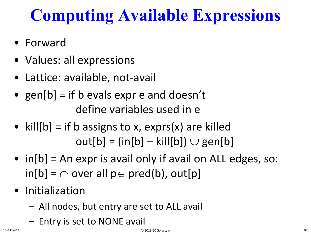# **Computing Available Expressions**

- Forward
- Values: all expressions
- Lattice: available, not-avail
- gen $[b] =$  if b evals expr e and doesn't define variables used in e
- kill $[b]$  = if b assigns to x, exprs(x) are killed  $out[b] = (in[b] - kill[b]) \cup gen[b]$
- in[b] = An expr is avail only if avail on ALL edges, so:  $in[b] = \bigcap over all p \in pred(b), out[p]$
- Initialization
	- All nodes, but entry are set to ALL avail
	- Entry is set to NONE avail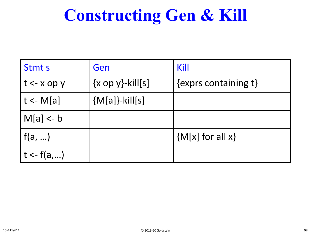# **Constructing Gen & Kill**

| <b>Stmts</b>   | Gen                               | Kill                         |
|----------------|-----------------------------------|------------------------------|
| $t < x$ op y   | $\{x \text{ op } y\}$ -kill $[s]$ | $\{$ exprs containing t $\}$ |
| $ t - M[a] $   | ${M[a]}$ -kill[s]                 |                              |
| $M[a] < -b$    |                                   |                              |
| $\vert$ f(a, ) |                                   | ${M[x]}$ for all x}          |
| $t < -f(a,)$   |                                   |                              |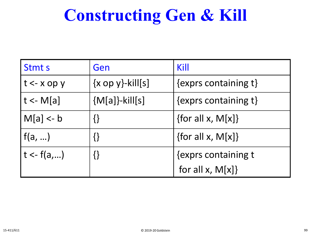## **Constructing Gen & Kill**

| <b>Stmts</b>                | Gen                               | Kill                              |  |
|-----------------------------|-----------------------------------|-----------------------------------|--|
| $\vert t \leftarrow x$ op y | $\{x \text{ op } y\}$ -kill $[s]$ | $\{exprs \text{ containing } t\}$ |  |
| $ t - M[a] $                | ${M[a]}$ -kill[s]                 | $\{exprs \text{ containing } t\}$ |  |
| $ M[a]<$ - b                |                                   | {for all $x$ , M[ $x$ ]}          |  |
| $\vert$ f(a, )              |                                   | {for all x, $M[x]$ }              |  |
| $ t - f(a,) $               |                                   | {exprs containing t               |  |
|                             |                                   | for all $x$ , $M[x]$              |  |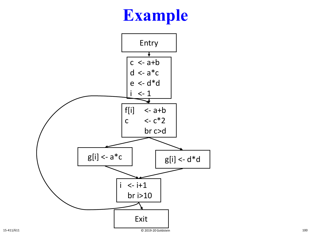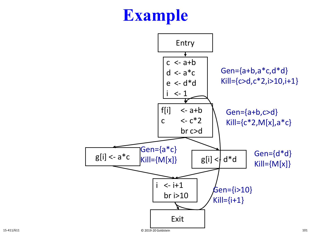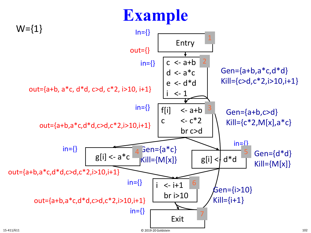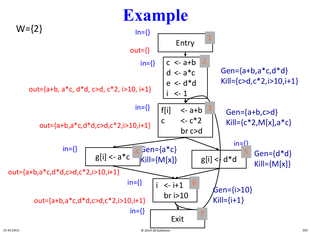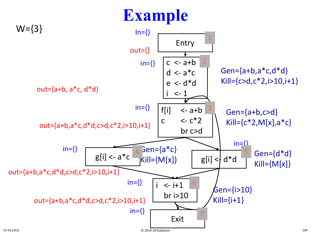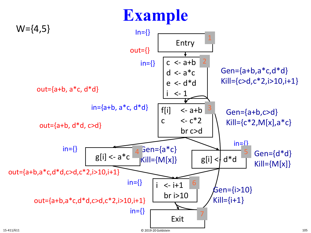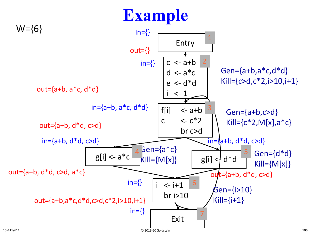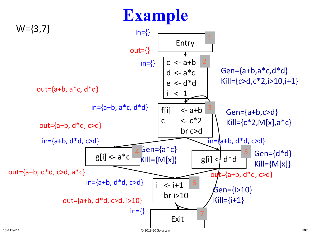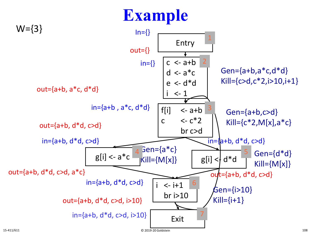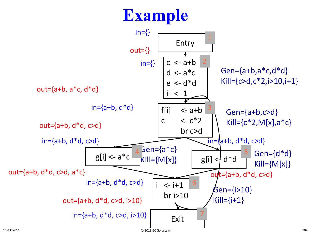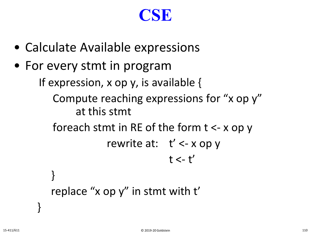#### **CSE**

- Calculate Available expressions
- For every stmt in program

If expression, x op y, is available {

Compute reaching expressions for "x op y" at this stmt

foreach stmt in RE of the form t <- x op y

```
rewrite at: t' <- x op y
             t < -t'
```

```
replace "x op y" in stmt with t'
```
}

}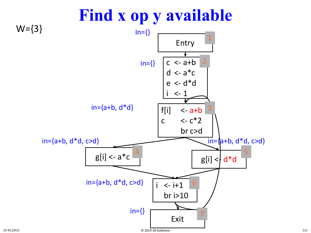

#### 15-411/611 © 2019-20 Goldstein 111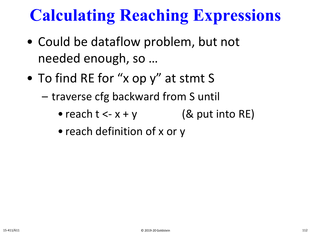# **Calculating Reaching Expressions**

- Could be dataflow problem, but not needed enough, so …
- To find RE for "x op y" at stmt S
	- traverse cfg backward from S until
		- reach  $t < -x + y$  (& put into RE)
		- reach definition of x or y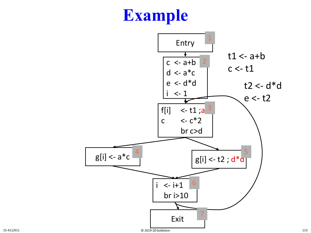## **Example**

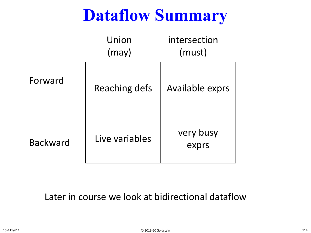# **Dataflow Summary**

|                 | Union<br>(may) | intersection<br>(must) |
|-----------------|----------------|------------------------|
| Forward         | Reaching defs  | Available exprs        |
| <b>Backward</b> | Live variables | very busy<br>exprs     |

Later in course we look at bidirectional dataflow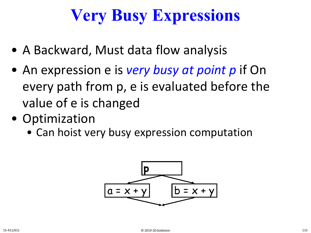# **Very Busy Expressions**

- A Backward, Must data flow analysis
- An expression e is *very busy at point p* if On every path from p, e is evaluated before the value of e is changed
- Optimization
	- Can hoist very busy expression computation

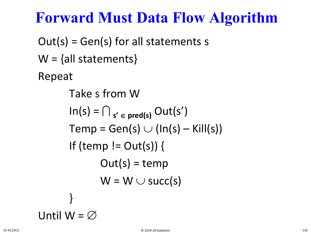#### **Forward Must Data Flow Algorithm**

 $Out(s) = Gen(s)$  for all statements s  $W = \{ all statements \}$ Repeat Take s from W  $\ln(s) = \bigcap_{s' \in \text{pred}(s)} \text{Out}(s')$  $Temp = Gen(s) \cup (In(s) - Kill(s))$ If (temp !=  $Out(s)$ ) {  $Out(s) = temp$  $W = W \cup succ(s)$ }

Until 
$$
W = \varnothing
$$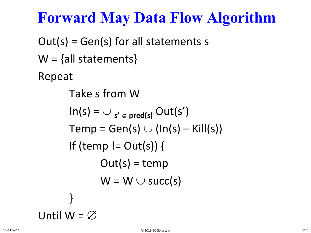### **Forward May Data Flow Algorithm**

 $Out(s) = Gen(s)$  for all statements s  $W = \{ all statements \}$ Repeat Take s from W  $\ln(s) = \cup_{s' \in \text{pred}(s)} \text{Out}(s')$  $Temp = Gen(s) \cup (In(s) - Kill(s))$ If (temp !=  $Out(s)$ ) {  $Out(s) = temp$  $W = W \cup succ(s)$ }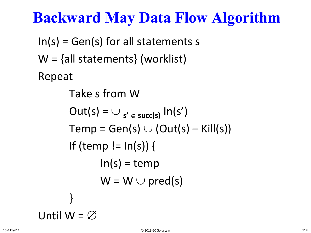### **Backward May Data Flow Algorithm**

 $In(s) = Gen(s)$  for all statements s W = {all statements} (worklist) Repeat

> Take s from W  $Out(s) = \bigcup_{s' \in succ(s)} In(s')$  $Temp = Gen(s) \cup (Out(s) - Kill(s))$ If (temp  $!=$   $ln(s)$ ) {  $ln(s) = temp$  $W = W \cup pred(s)$ }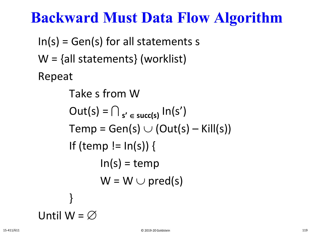### **Backward Must Data Flow Algorithm**

 $In(s) = Gen(s)$  for all statements s W = {all statements} (worklist) Repeat

> Take s from W  $Out(s) = \bigcap_{s' \in succ(s)} In(s')$  $Temp = Gen(s) \cup (Out(s) - Kill(s))$ If (temp  $!=$   $ln(s)$ ) {  $ln(s) = temp$  $W = W \cup pred(s)$ }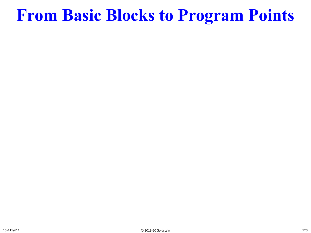## **From Basic Blocks to Program Points**